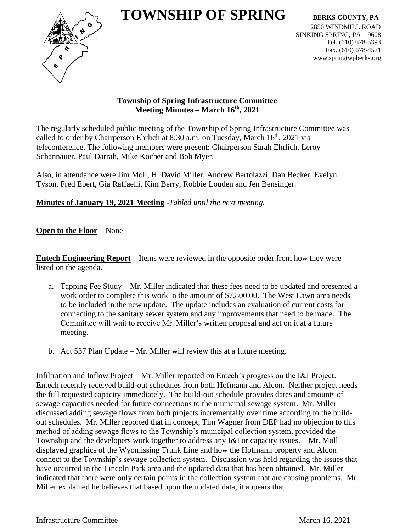# $\bf TOWNSHIP\ OF\ SPRING\ \rm BERKSCOUNTY, PA$



2850 WINDMILL ROAD SINKING SPRING, PA 19608 Tel. (610) 678-5393 Fax. (610) 678-4571 www.springtwpberks.org

## **Township of Spring Infrastructure Committee Meeting Minutes – March 16th , 2021**

The regularly scheduled public meeting of the Township of Spring Infrastructure Committee was called to order by Chairperson Ehrlich at 8:30 a.m. on Tuesday, March 16<sup>th</sup>, 2021 via teleconference. The following members were present: Chairperson Sarah Ehrlich, Leroy Schannauer, Paul Darrah, Mike Kocher and Bob Myer.

Also, in attendance were Jim Moll, H. David Miller, Andrew Bertolazzi, Dan Becker, Evelyn Tyson, Fred Ebert, Gia Raffaelli, Kim Berry, Robbie Louden and Jen Bensinger.

**Minutes of January 19, 2021 Meeting** -*Tabled until the next meeting.*

## **Open to the Floor** – None

**Entech Engineering Report** – Items were reviewed in the opposite order from how they were listed on the agenda.

- a. Tapping Fee Study Mr. Miller indicated that these fees need to be updated and presented a work order to complete this work in the amount of \$7,800.00. The West Lawn area needs to be included in the new update. The update includes an evaluation of current costs for connecting to the sanitary sewer system and any improvements that need to be made. The Committee will wait to receive Mr. Miller's written proposal and act on it at a future meeting.
- b. Act 537 Plan Update Mr. Miller will review this at a future meeting.

Infiltration and Inflow Project – Mr. Miller reported on Entech's progress on the I&I Project. Entech recently received build-out schedules from both Hofmann and Alcon. Neither project needs the full requested capacity immediately. The build-out schedule provides dates and amounts of sewage capacities needed for future connections to the municipal sewage system. Mr. Miller discussed adding sewage flows from both projects incrementally over time according to the buildout schedules. Mr. Miller reported that in concept, Tim Wagner from DEP had no objection to this method of adding sewage flows to the Township's municipal collection system, provided the Township and the developers work together to address any I&I or capacity issues. Mr. Moll displayed graphics of the Wyomissing Trunk Line and how the Hofmann property and Alcon connect to the Township's sewage collection system. Discussion was held regarding the issues that have occurred in the Lincoln Park area and the updated data that has been obtained. Mr. Miller indicated that there were only certain points in the collection system that are causing problems. Mr. Miller explained he believes that based upon the updated data, it appears that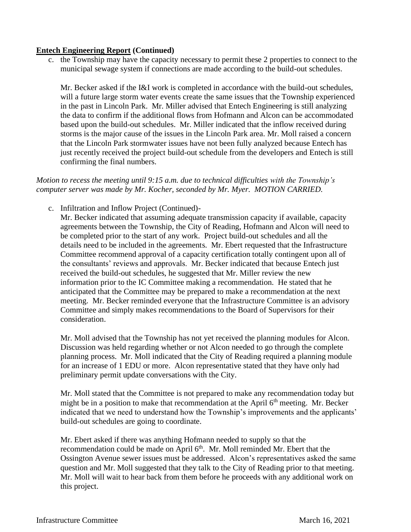#### **Entech Engineering Report (Continued)**

c. the Township may have the capacity necessary to permit these 2 properties to connect to the municipal sewage system if connections are made according to the build-out schedules.

Mr. Becker asked if the I&I work is completed in accordance with the build-out schedules, will a future large storm water events create the same issues that the Township experienced in the past in Lincoln Park. Mr. Miller advised that Entech Engineering is still analyzing the data to confirm if the additional flows from Hofmann and Alcon can be accommodated based upon the build-out schedules. Mr. Miller indicated that the inflow received during storms is the major cause of the issues in the Lincoln Park area. Mr. Moll raised a concern that the Lincoln Park stormwater issues have not been fully analyzed because Entech has just recently received the project build-out schedule from the developers and Entech is still confirming the final numbers.

#### *Motion to recess the meeting until 9:15 a.m. due to technical difficulties with the Township's computer server was made by Mr. Kocher, seconded by Mr. Myer. MOTION CARRIED.*

c. Infiltration and Inflow Project (Continued)-

Mr. Becker indicated that assuming adequate transmission capacity if available, capacity agreements between the Township, the City of Reading, Hofmann and Alcon will need to be completed prior to the start of any work. Project build-out schedules and all the details need to be included in the agreements. Mr. Ebert requested that the Infrastructure Committee recommend approval of a capacity certification totally contingent upon all of the consultants' reviews and approvals. Mr. Becker indicated that because Entech just received the build-out schedules, he suggested that Mr. Miller review the new information prior to the IC Committee making a recommendation. He stated that he anticipated that the Committee may be prepared to make a recommendation at the next meeting. Mr. Becker reminded everyone that the Infrastructure Committee is an advisory Committee and simply makes recommendations to the Board of Supervisors for their consideration.

Mr. Moll advised that the Township has not yet received the planning modules for Alcon. Discussion was held regarding whether or not Alcon needed to go through the complete planning process. Mr. Moll indicated that the City of Reading required a planning module for an increase of 1 EDU or more. Alcon representative stated that they have only had preliminary permit update conversations with the City.

Mr. Moll stated that the Committee is not prepared to make any recommendation today but might be in a position to make that recommendation at the April 6<sup>th</sup> meeting. Mr. Becker indicated that we need to understand how the Township's improvements and the applicants' build-out schedules are going to coordinate.

Mr. Ebert asked if there was anything Hofmann needed to supply so that the recommendation could be made on April 6<sup>th</sup>. Mr. Moll reminded Mr. Ebert that the Ossington Avenue sewer issues must be addressed. Alcon's representatives asked the same question and Mr. Moll suggested that they talk to the City of Reading prior to that meeting. Mr. Moll will wait to hear back from them before he proceeds with any additional work on this project.